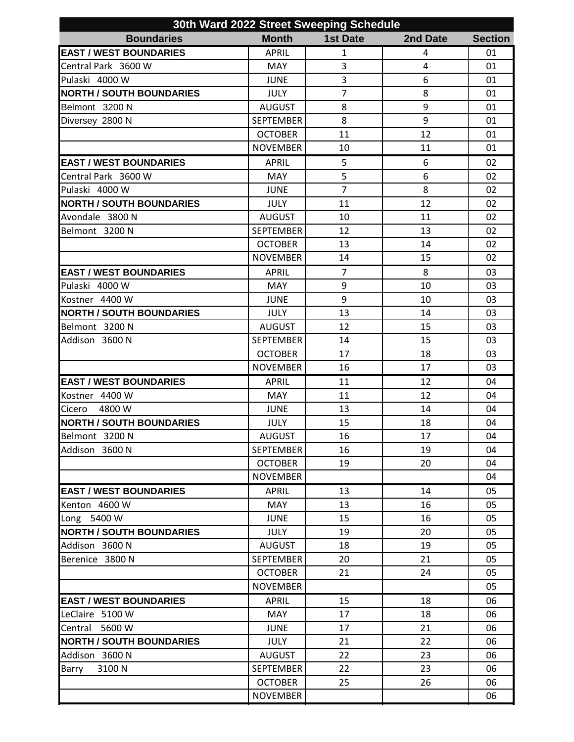| 30th Ward 2022 Street Sweeping Schedule |                  |                 |          |                |  |  |  |
|-----------------------------------------|------------------|-----------------|----------|----------------|--|--|--|
| <b>Boundaries</b>                       | <b>Month</b>     | <b>1st Date</b> | 2nd Date | <b>Section</b> |  |  |  |
| <b>EAST / WEST BOUNDARIES</b>           | <b>APRIL</b>     | $\mathbf{1}$    | 4        | 01             |  |  |  |
| Central Park 3600 W                     | <b>MAY</b>       | $\overline{3}$  | 4        | 01             |  |  |  |
| Pulaski 4000 W                          | <b>JUNE</b>      | 3               | 6        | 01             |  |  |  |
| <b>NORTH / SOUTH BOUNDARIES</b>         | <b>JULY</b>      | $\overline{7}$  | 8        | 01             |  |  |  |
| Belmont 3200 N                          | <b>AUGUST</b>    | 8               | 9        | 01             |  |  |  |
| Diversey 2800 N                         | <b>SEPTEMBER</b> | 8               | 9        | 01             |  |  |  |
|                                         | <b>OCTOBER</b>   | 11              | 12       | 01             |  |  |  |
|                                         | <b>NOVEMBER</b>  | 10              | 11       | 01             |  |  |  |
| <b>EAST / WEST BOUNDARIES</b>           | <b>APRIL</b>     | 5               | 6        | 02             |  |  |  |
| Central Park 3600 W                     | <b>MAY</b>       | 5               | 6        | 02             |  |  |  |
| Pulaski 4000 W                          | <b>JUNE</b>      | $\overline{7}$  | 8        | 02             |  |  |  |
| <b>NORTH / SOUTH BOUNDARIES</b>         | <b>JULY</b>      | 11              | 12       | 02             |  |  |  |
| Avondale 3800 N                         | <b>AUGUST</b>    | 10              | 11       | 02             |  |  |  |
| Belmont 3200 N                          | <b>SEPTEMBER</b> | 12              | 13       | 02             |  |  |  |
|                                         | <b>OCTOBER</b>   | 13              | 14       | 02             |  |  |  |
|                                         | <b>NOVEMBER</b>  | 14              | 15       | 02             |  |  |  |
| <b>EAST / WEST BOUNDARIES</b>           | <b>APRIL</b>     | $\overline{7}$  | 8        | 03             |  |  |  |
| Pulaski 4000 W                          | <b>MAY</b>       | 9               | 10       | 03             |  |  |  |
| Kostner 4400 W                          | <b>JUNE</b>      | 9               | 10       | 03             |  |  |  |
| <b>NORTH / SOUTH BOUNDARIES</b>         | <b>JULY</b>      | 13              | 14       | 03             |  |  |  |
| Belmont 3200 N                          | <b>AUGUST</b>    | 12              | 15       | 03             |  |  |  |
| Addison 3600 N                          | <b>SEPTEMBER</b> | 14              | 15       | 03             |  |  |  |
|                                         | <b>OCTOBER</b>   | 17              | 18       | 03             |  |  |  |
|                                         | <b>NOVEMBER</b>  | 16              | 17       | 03             |  |  |  |
| <b>EAST / WEST BOUNDARIES</b>           | <b>APRIL</b>     | 11              | 12       | 04             |  |  |  |
| Kostner 4400 W                          | <b>MAY</b>       | 11              | 12       | 04             |  |  |  |
| Cicero 4800 W                           | <b>JUNE</b>      | 13              | 14       | 04             |  |  |  |
| <b>NORTH / SOUTH BOUNDARIES</b>         |                  |                 | 18       | 04             |  |  |  |
|                                         | <b>JULY</b>      | 15              |          |                |  |  |  |
| Belmont 3200 N                          | <b>AUGUST</b>    | 16              | 17       | 04             |  |  |  |
| Addison 3600 N                          | <b>SEPTEMBER</b> | 16              | 19       | 04             |  |  |  |
|                                         | <b>OCTOBER</b>   | 19              | 20       | 04             |  |  |  |
|                                         | <b>NOVEMBER</b>  |                 |          | 04             |  |  |  |
| <b>EAST / WEST BOUNDARIES</b>           | <b>APRIL</b>     | 13              | 14       | 05             |  |  |  |
| Kenton 4600 W                           | <b>MAY</b>       | 13              | 16       | 05             |  |  |  |
| Long 5400 W                             | <b>JUNE</b>      | 15              | 16       | 05             |  |  |  |
| <b>NORTH / SOUTH BOUNDARIES</b>         | <b>JULY</b>      | 19              | 20       | 05             |  |  |  |
| Addison 3600 N                          | <b>AUGUST</b>    | 18              | 19       | 05             |  |  |  |
| Berenice 3800 N                         | <b>SEPTEMBER</b> | 20              | 21       | 05             |  |  |  |
|                                         | <b>OCTOBER</b>   | 21              | 24       | 05             |  |  |  |
|                                         | <b>NOVEMBER</b>  |                 |          | 05             |  |  |  |
| <b>EAST / WEST BOUNDARIES</b>           | <b>APRIL</b>     | 15              | 18       | 06             |  |  |  |
| LeClaire 5100 W                         | <b>MAY</b>       | 17              | 18       | 06             |  |  |  |
| Central 5600 W                          | <b>JUNE</b>      | 17              | 21       | 06             |  |  |  |
| <b>NORTH / SOUTH BOUNDARIES</b>         | <b>JULY</b>      | 21              | 22       | 06             |  |  |  |
| Addison 3600 N                          | <b>AUGUST</b>    | 22              | 23       | 06             |  |  |  |
| 3100N<br>Barry                          | <b>SEPTEMBER</b> | 22              | 23       | 06             |  |  |  |
|                                         | <b>OCTOBER</b>   | 25              | 26       | 06             |  |  |  |
|                                         | <b>NOVEMBER</b>  |                 |          | 06             |  |  |  |